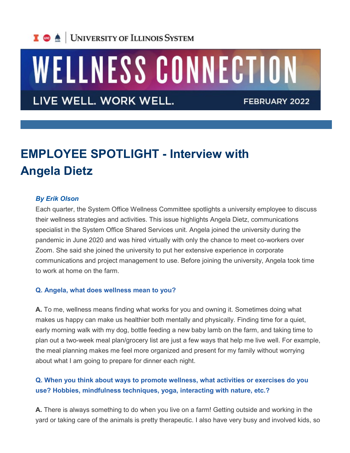

# WELLNESS CONNECTION

LIVE WELL. WORK WELL.

FEBRUARY 2022

# **EMPLOYEE SPOTLIGHT - Interview with Angela Dietz**

#### *By Erik Olson*

Each quarter, the System Office Wellness Committee spotlights a university employee to discuss their wellness strategies and activities. This issue highlights Angela Dietz, communications specialist in the System Office Shared Services unit. Angela joined the university during the pandemic in June 2020 and was hired virtually with only the chance to meet co-workers over Zoom. She said she joined the university to put her extensive experience in corporate communications and project management to use. Before joining the university, Angela took time to work at home on the farm.

#### **Q. Angela, what does wellness mean to you?**

**A.** To me, wellness means finding what works for you and owning it. Sometimes doing what makes us happy can make us healthier both mentally and physically. Finding time for a quiet, early morning walk with my dog, bottle feeding a new baby lamb on the farm, and taking time to plan out a two-week meal plan/grocery list are just a few ways that help me live well. For example, the meal planning makes me feel more organized and present for my family without worrying about what I am going to prepare for dinner each night.

## **Q. When you think about ways to promote wellness, what activities or exercises do you use? Hobbies, mindfulness techniques, yoga, interacting with nature, etc.?**

**A.** There is always something to do when you live on a farm! Getting outside and working in the yard or taking care of the animals is pretty therapeutic. I also have very busy and involved kids, so